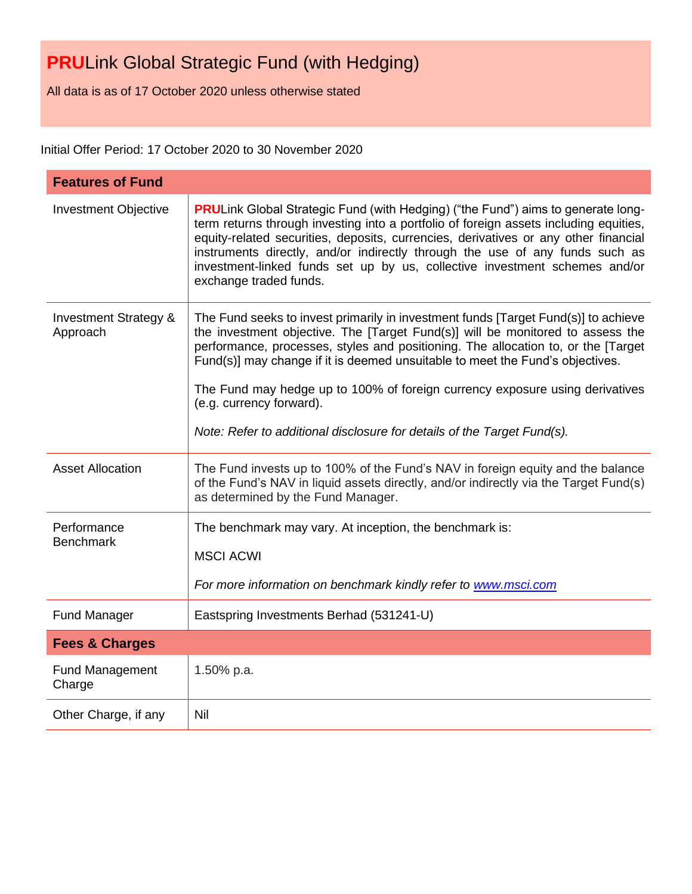All data is as of 17 October 2020 unless otherwise stated

Initial Offer Period: 17 October 2020 to 30 November 2020

| <b>Features of Fund</b>                      |                                                                                                                                                                                                                                                                                                                                                                                                                                                                                                                                   |
|----------------------------------------------|-----------------------------------------------------------------------------------------------------------------------------------------------------------------------------------------------------------------------------------------------------------------------------------------------------------------------------------------------------------------------------------------------------------------------------------------------------------------------------------------------------------------------------------|
| <b>Investment Objective</b>                  | <b>PRULink Global Strategic Fund (with Hedging) ("the Fund") aims to generate long-</b><br>term returns through investing into a portfolio of foreign assets including equities,<br>equity-related securities, deposits, currencies, derivatives or any other financial<br>instruments directly, and/or indirectly through the use of any funds such as<br>investment-linked funds set up by us, collective investment schemes and/or<br>exchange traded funds.                                                                   |
| <b>Investment Strategy &amp;</b><br>Approach | The Fund seeks to invest primarily in investment funds [Target Fund(s)] to achieve<br>the investment objective. The [Target Fund(s)] will be monitored to assess the<br>performance, processes, styles and positioning. The allocation to, or the [Target<br>Fund(s)] may change if it is deemed unsuitable to meet the Fund's objectives.<br>The Fund may hedge up to 100% of foreign currency exposure using derivatives<br>(e.g. currency forward).<br>Note: Refer to additional disclosure for details of the Target Fund(s). |
| <b>Asset Allocation</b>                      | The Fund invests up to 100% of the Fund's NAV in foreign equity and the balance<br>of the Fund's NAV in liquid assets directly, and/or indirectly via the Target Fund(s)<br>as determined by the Fund Manager.                                                                                                                                                                                                                                                                                                                    |
| Performance<br><b>Benchmark</b>              | The benchmark may vary. At inception, the benchmark is:<br><b>MSCI ACWI</b><br>For more information on benchmark kindly refer to www.msci.com                                                                                                                                                                                                                                                                                                                                                                                     |
| <b>Fund Manager</b>                          | Eastspring Investments Berhad (531241-U)                                                                                                                                                                                                                                                                                                                                                                                                                                                                                          |
| <b>Fees &amp; Charges</b>                    |                                                                                                                                                                                                                                                                                                                                                                                                                                                                                                                                   |
| <b>Fund Management</b><br>Charge             | 1.50% p.a.                                                                                                                                                                                                                                                                                                                                                                                                                                                                                                                        |
| Other Charge, if any                         | Nil                                                                                                                                                                                                                                                                                                                                                                                                                                                                                                                               |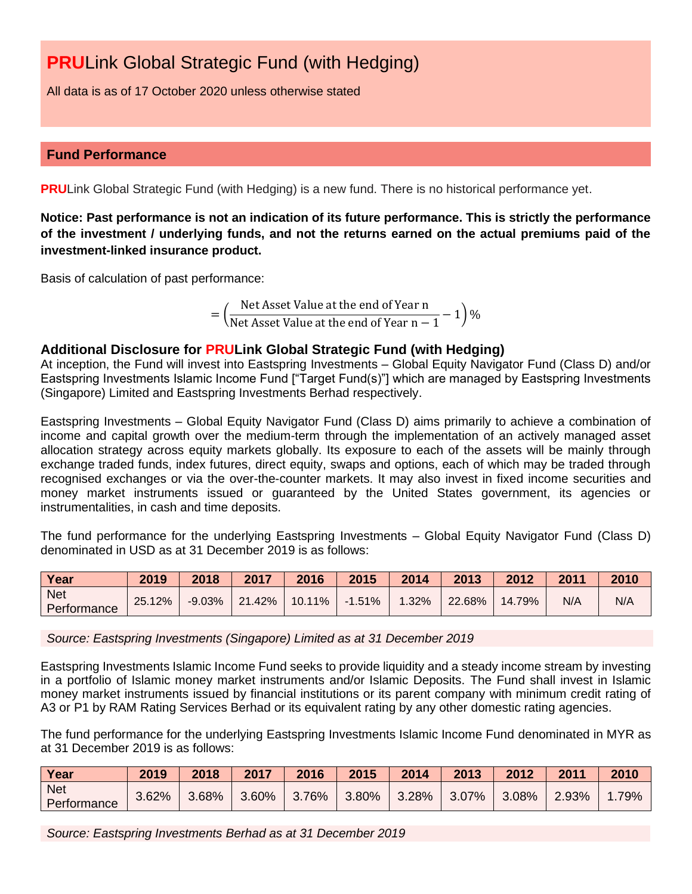All data is as of 17 October 2020 unless otherwise stated

# **Fund Performance**

**PRU**Link Global Strategic Fund (with Hedging) is a new fund. There is no historical performance yet.

**Notice: Past performance is not an indication of its future performance. This is strictly the performance of the investment / underlying funds, and not the returns earned on the actual premiums paid of the investment-linked insurance product.**

Basis of calculation of past performance:

= ( Net Asset Value at the end of Year n Net Asset Value at the end of Year  $n-1-1$  %

# **Additional Disclosure for PRULink Global Strategic Fund (with Hedging)**

At inception, the Fund will invest into Eastspring Investments – Global Equity Navigator Fund (Class D) and/or Eastspring Investments Islamic Income Fund ["Target Fund(s)"] which are managed by Eastspring Investments (Singapore) Limited and Eastspring Investments Berhad respectively.

Eastspring Investments – Global Equity Navigator Fund (Class D) aims primarily to achieve a combination of income and capital growth over the medium-term through the implementation of an actively managed asset allocation strategy across equity markets globally. Its exposure to each of the assets will be mainly through exchange traded funds, index futures, direct equity, swaps and options, each of which may be traded through recognised exchanges or via the over-the-counter markets. It may also invest in fixed income securities and money market instruments issued or guaranteed by the United States government, its agencies or instrumentalities, in cash and time deposits.

The fund performance for the underlying Eastspring Investments – Global Equity Navigator Fund (Class D) denominated in USD as at 31 December 2019 is as follows:

| Year                      | 2019   | 2018      | 2017    | 2016      | 2015      | 2014  | 2013   | 2012   | 2011 | 2010 |
|---------------------------|--------|-----------|---------|-----------|-----------|-------|--------|--------|------|------|
| <b>Net</b><br>Performance | 25.12% | $-9.03\%$ | 121.42% | $10.11\%$ | $-1.51\%$ | 1.32% | 22.68% | 14.79% | N/A  | N/A  |

*Source: Eastspring Investments (Singapore) Limited as at 31 December 2019*

Eastspring Investments Islamic Income Fund seeks to provide liquidity and a steady income stream by investing in a portfolio of Islamic money market instruments and/or Islamic Deposits. The Fund shall invest in Islamic money market instruments issued by financial institutions or its parent company with minimum credit rating of A3 or P1 by RAM Rating Services Berhad or its equivalent rating by any other domestic rating agencies.

The fund performance for the underlying Eastspring Investments Islamic Income Fund denominated in MYR as at 31 December 2019 is as follows:

| Year                      | 2019  | 2018  | 2017  | 2016  | 2015  | 2014  | 2013  | 2012  | 2011  | 2010 |
|---------------------------|-------|-------|-------|-------|-------|-------|-------|-------|-------|------|
| <b>Net</b><br>Performance | 3.62% | 3.68% | 3.60% | 3.76% | 3.80% | 3.28% | 3.07% | 3.08% | 2.93% | .79% |

*Source: Eastspring Investments Berhad as at 31 December 2019*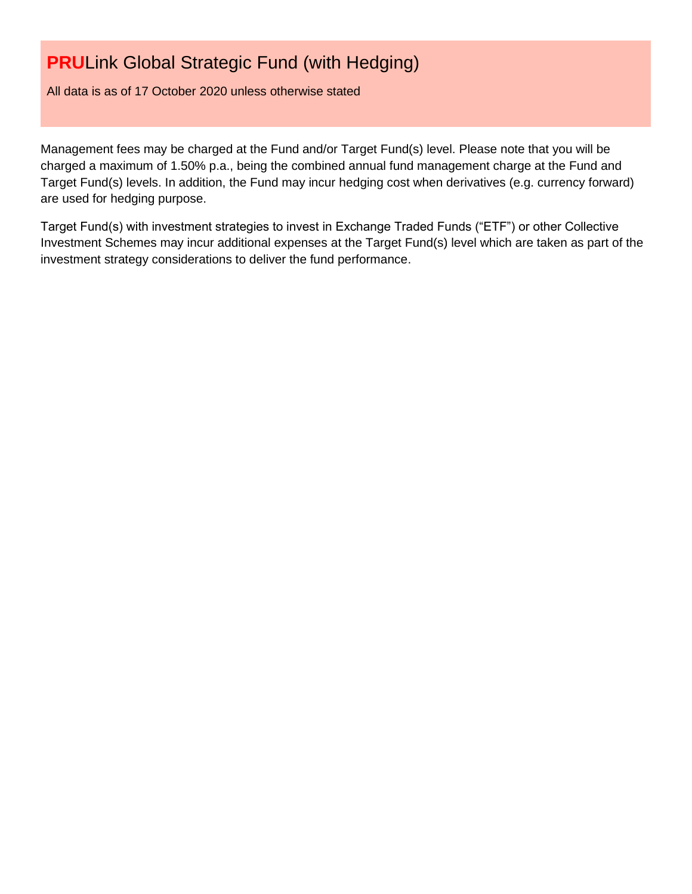All data is as of 17 October 2020 unless otherwise stated

Management fees may be charged at the Fund and/or Target Fund(s) level. Please note that you will be charged a maximum of 1.50% p.a., being the combined annual fund management charge at the Fund and Target Fund(s) levels. In addition, the Fund may incur hedging cost when derivatives (e.g. currency forward) are used for hedging purpose.

Target Fund(s) with investment strategies to invest in Exchange Traded Funds ("ETF") or other Collective Investment Schemes may incur additional expenses at the Target Fund(s) level which are taken as part of the investment strategy considerations to deliver the fund performance.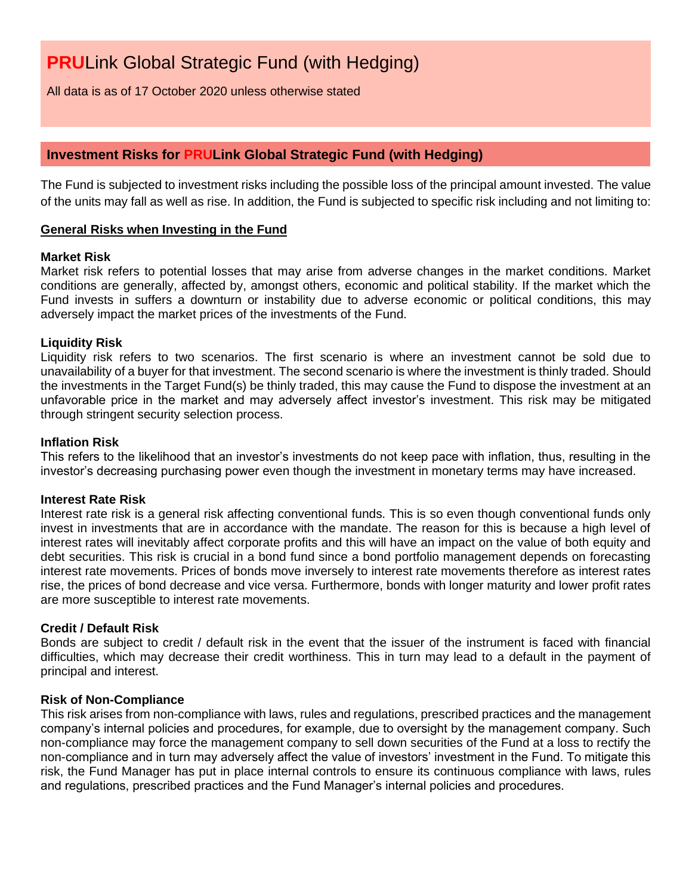All data is as of 17 October 2020 unless otherwise stated

# **Investment Risks for PRULink Global Strategic Fund (with Hedging)**

The Fund is subjected to investment risks including the possible loss of the principal amount invested. The value of the units may fall as well as rise. In addition, the Fund is subjected to specific risk including and not limiting to:

# **General Risks when Investing in the Fund**

### **Market Risk**

Market risk refers to potential losses that may arise from adverse changes in the market conditions. Market conditions are generally, affected by, amongst others, economic and political stability. If the market which the Fund invests in suffers a downturn or instability due to adverse economic or political conditions, this may adversely impact the market prices of the investments of the Fund.

### **Liquidity Risk**

Liquidity risk refers to two scenarios. The first scenario is where an investment cannot be sold due to unavailability of a buyer for that investment. The second scenario is where the investment is thinly traded. Should the investments in the Target Fund(s) be thinly traded, this may cause the Fund to dispose the investment at an unfavorable price in the market and may adversely affect investor's investment. This risk may be mitigated through stringent security selection process.

# **Inflation Risk**

This refers to the likelihood that an investor's investments do not keep pace with inflation, thus, resulting in the investor's decreasing purchasing power even though the investment in monetary terms may have increased.

### **Interest Rate Risk**

Interest rate risk is a general risk affecting conventional funds. This is so even though conventional funds only invest in investments that are in accordance with the mandate. The reason for this is because a high level of interest rates will inevitably affect corporate profits and this will have an impact on the value of both equity and debt securities. This risk is crucial in a bond fund since a bond portfolio management depends on forecasting interest rate movements. Prices of bonds move inversely to interest rate movements therefore as interest rates rise, the prices of bond decrease and vice versa. Furthermore, bonds with longer maturity and lower profit rates are more susceptible to interest rate movements.

### **Credit / Default Risk**

Bonds are subject to credit / default risk in the event that the issuer of the instrument is faced with financial difficulties, which may decrease their credit worthiness. This in turn may lead to a default in the payment of principal and interest.

### **Risk of Non-Compliance**

This risk arises from non-compliance with laws, rules and regulations, prescribed practices and the management company's internal policies and procedures, for example, due to oversight by the management company. Such non-compliance may force the management company to sell down securities of the Fund at a loss to rectify the non-compliance and in turn may adversely affect the value of investors' investment in the Fund. To mitigate this risk, the Fund Manager has put in place internal controls to ensure its continuous compliance with laws, rules and regulations, prescribed practices and the Fund Manager's internal policies and procedures.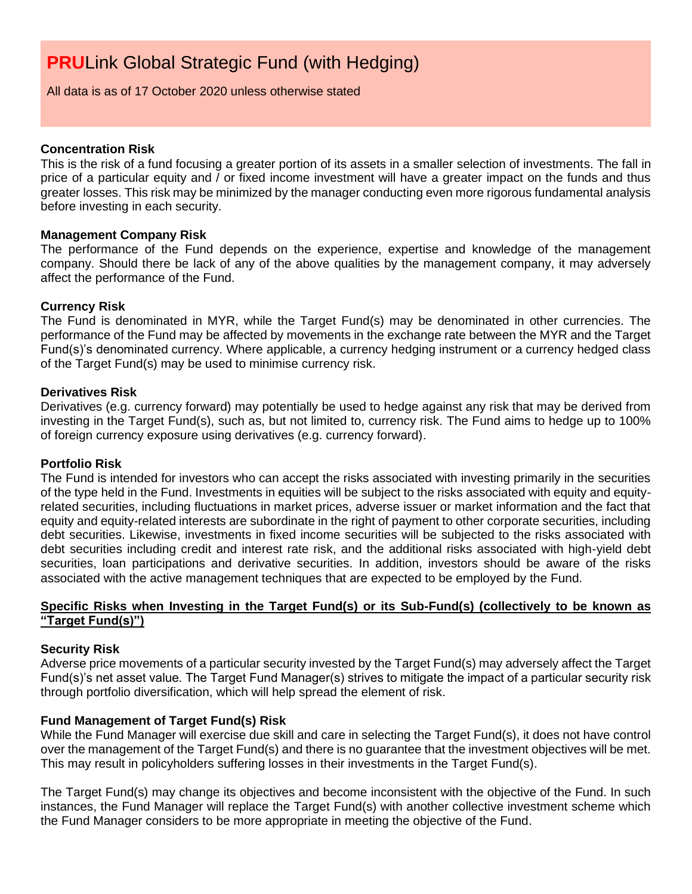All data is as of 17 October 2020 unless otherwise stated

### **Concentration Risk**

This is the risk of a fund focusing a greater portion of its assets in a smaller selection of investments. The fall in price of a particular equity and / or fixed income investment will have a greater impact on the funds and thus greater losses. This risk may be minimized by the manager conducting even more rigorous fundamental analysis before investing in each security.

# **Management Company Risk**

The performance of the Fund depends on the experience, expertise and knowledge of the management company. Should there be lack of any of the above qualities by the management company, it may adversely affect the performance of the Fund.

# **Currency Risk**

The Fund is denominated in MYR, while the Target Fund(s) may be denominated in other currencies. The performance of the Fund may be affected by movements in the exchange rate between the MYR and the Target Fund(s)'s denominated currency. Where applicable, a currency hedging instrument or a currency hedged class of the Target Fund(s) may be used to minimise currency risk.

### **Derivatives Risk**

Derivatives (e.g. currency forward) may potentially be used to hedge against any risk that may be derived from investing in the Target Fund(s), such as, but not limited to, currency risk. The Fund aims to hedge up to 100% of foreign currency exposure using derivatives (e.g. currency forward).

# **Portfolio Risk**

The Fund is intended for investors who can accept the risks associated with investing primarily in the securities of the type held in the Fund. Investments in equities will be subject to the risks associated with equity and equityrelated securities, including fluctuations in market prices, adverse issuer or market information and the fact that equity and equity-related interests are subordinate in the right of payment to other corporate securities, including debt securities. Likewise, investments in fixed income securities will be subjected to the risks associated with debt securities including credit and interest rate risk, and the additional risks associated with high-yield debt securities, loan participations and derivative securities. In addition, investors should be aware of the risks associated with the active management techniques that are expected to be employed by the Fund.

# **Specific Risks when Investing in the Target Fund(s) or its Sub-Fund(s) (collectively to be known as "Target Fund(s)")**

### **Security Risk**

Adverse price movements of a particular security invested by the Target Fund(s) may adversely affect the Target Fund(s)'s net asset value. The Target Fund Manager(s) strives to mitigate the impact of a particular security risk through portfolio diversification, which will help spread the element of risk.

# **Fund Management of Target Fund(s) Risk**

While the Fund Manager will exercise due skill and care in selecting the Target Fund(s), it does not have control over the management of the Target Fund(s) and there is no guarantee that the investment objectives will be met. This may result in policyholders suffering losses in their investments in the Target Fund(s).

The Target Fund(s) may change its objectives and become inconsistent with the objective of the Fund. In such instances, the Fund Manager will replace the Target Fund(s) with another collective investment scheme which the Fund Manager considers to be more appropriate in meeting the objective of the Fund.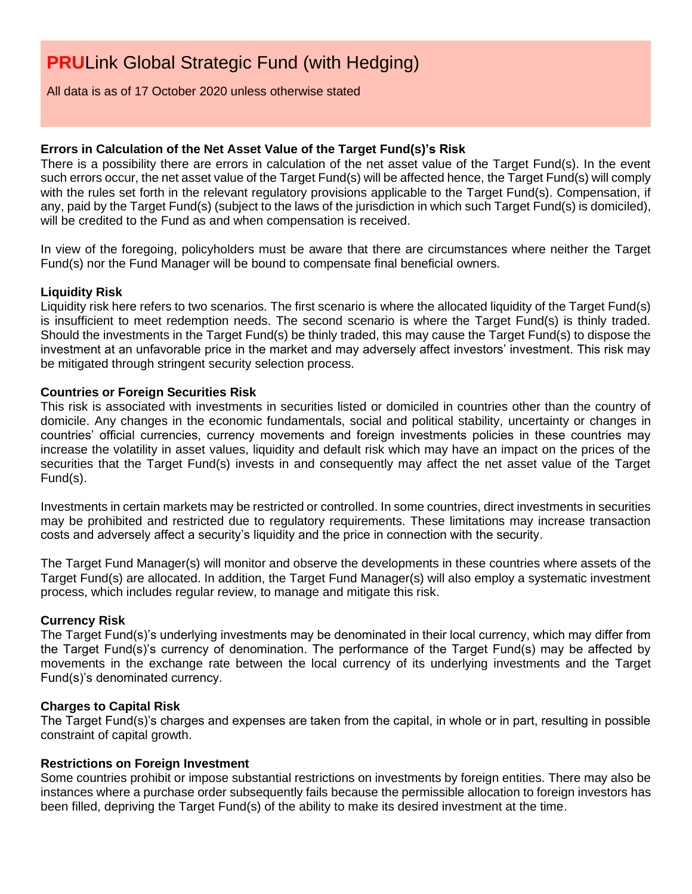All data is as of 17 October 2020 unless otherwise stated

# **Errors in Calculation of the Net Asset Value of the Target Fund(s)'s Risk**

There is a possibility there are errors in calculation of the net asset value of the Target Fund(s). In the event such errors occur, the net asset value of the Target Fund(s) will be affected hence, the Target Fund(s) will comply with the rules set forth in the relevant regulatory provisions applicable to the Target Fund(s). Compensation, if any, paid by the Target Fund(s) (subject to the laws of the jurisdiction in which such Target Fund(s) is domiciled), will be credited to the Fund as and when compensation is received.

In view of the foregoing, policyholders must be aware that there are circumstances where neither the Target Fund(s) nor the Fund Manager will be bound to compensate final beneficial owners.

# **Liquidity Risk**

Liquidity risk here refers to two scenarios. The first scenario is where the allocated liquidity of the Target Fund(s) is insufficient to meet redemption needs. The second scenario is where the Target Fund(s) is thinly traded. Should the investments in the Target Fund(s) be thinly traded, this may cause the Target Fund(s) to dispose the investment at an unfavorable price in the market and may adversely affect investors' investment. This risk may be mitigated through stringent security selection process.

# **Countries or Foreign Securities Risk**

This risk is associated with investments in securities listed or domiciled in countries other than the country of domicile. Any changes in the economic fundamentals, social and political stability, uncertainty or changes in countries' official currencies, currency movements and foreign investments policies in these countries may increase the volatility in asset values, liquidity and default risk which may have an impact on the prices of the securities that the Target Fund(s) invests in and consequently may affect the net asset value of the Target Fund(s).

Investments in certain markets may be restricted or controlled. In some countries, direct investments in securities may be prohibited and restricted due to regulatory requirements. These limitations may increase transaction costs and adversely affect a security's liquidity and the price in connection with the security.

The Target Fund Manager(s) will monitor and observe the developments in these countries where assets of the Target Fund(s) are allocated. In addition, the Target Fund Manager(s) will also employ a systematic investment process, which includes regular review, to manage and mitigate this risk.

### **Currency Risk**

The Target Fund(s)'s underlying investments may be denominated in their local currency, which may differ from the Target Fund(s)'s currency of denomination. The performance of the Target Fund(s) may be affected by movements in the exchange rate between the local currency of its underlying investments and the Target Fund(s)'s denominated currency.

### **Charges to Capital Risk**

The Target Fund(s)'s charges and expenses are taken from the capital, in whole or in part, resulting in possible constraint of capital growth.

### **Restrictions on Foreign Investment**

Some countries prohibit or impose substantial restrictions on investments by foreign entities. There may also be instances where a purchase order subsequently fails because the permissible allocation to foreign investors has been filled, depriving the Target Fund(s) of the ability to make its desired investment at the time.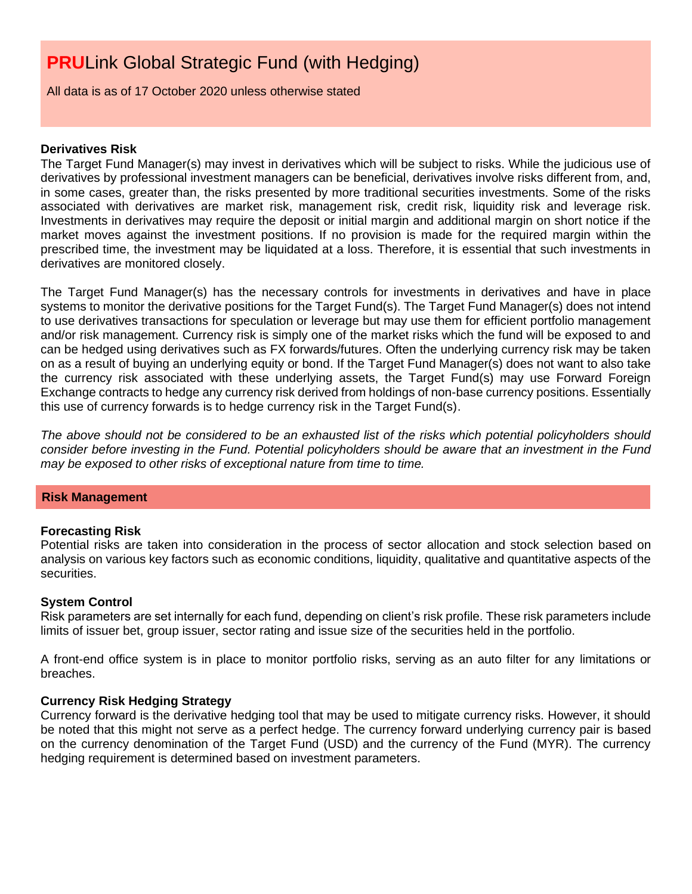All data is as of 17 October 2020 unless otherwise stated

#### **Derivatives Risk**

The Target Fund Manager(s) may invest in derivatives which will be subject to risks. While the judicious use of derivatives by professional investment managers can be beneficial, derivatives involve risks different from, and, in some cases, greater than, the risks presented by more traditional securities investments. Some of the risks associated with derivatives are market risk, management risk, credit risk, liquidity risk and leverage risk. Investments in derivatives may require the deposit or initial margin and additional margin on short notice if the market moves against the investment positions. If no provision is made for the required margin within the prescribed time, the investment may be liquidated at a loss. Therefore, it is essential that such investments in derivatives are monitored closely.

The Target Fund Manager(s) has the necessary controls for investments in derivatives and have in place systems to monitor the derivative positions for the Target Fund(s). The Target Fund Manager(s) does not intend to use derivatives transactions for speculation or leverage but may use them for efficient portfolio management and/or risk management. Currency risk is simply one of the market risks which the fund will be exposed to and can be hedged using derivatives such as FX forwards/futures. Often the underlying currency risk may be taken on as a result of buying an underlying equity or bond. If the Target Fund Manager(s) does not want to also take the currency risk associated with these underlying assets, the Target Fund(s) may use Forward Foreign Exchange contracts to hedge any currency risk derived from holdings of non-base currency positions. Essentially this use of currency forwards is to hedge currency risk in the Target Fund(s).

*The above should not be considered to be an exhausted list of the risks which potential policyholders should consider before investing in the Fund. Potential policyholders should be aware that an investment in the Fund may be exposed to other risks of exceptional nature from time to time.*

### **Risk Management**

### **Forecasting Risk**

Potential risks are taken into consideration in the process of sector allocation and stock selection based on analysis on various key factors such as economic conditions, liquidity, qualitative and quantitative aspects of the securities.

### **System Control**

Risk parameters are set internally for each fund, depending on client's risk profile. These risk parameters include limits of issuer bet, group issuer, sector rating and issue size of the securities held in the portfolio.

A front-end office system is in place to monitor portfolio risks, serving as an auto filter for any limitations or breaches.

# **Currency Risk Hedging Strategy**

Currency forward is the derivative hedging tool that may be used to mitigate currency risks. However, it should be noted that this might not serve as a perfect hedge. The currency forward underlying currency pair is based on the currency denomination of the Target Fund (USD) and the currency of the Fund (MYR). The currency hedging requirement is determined based on investment parameters.